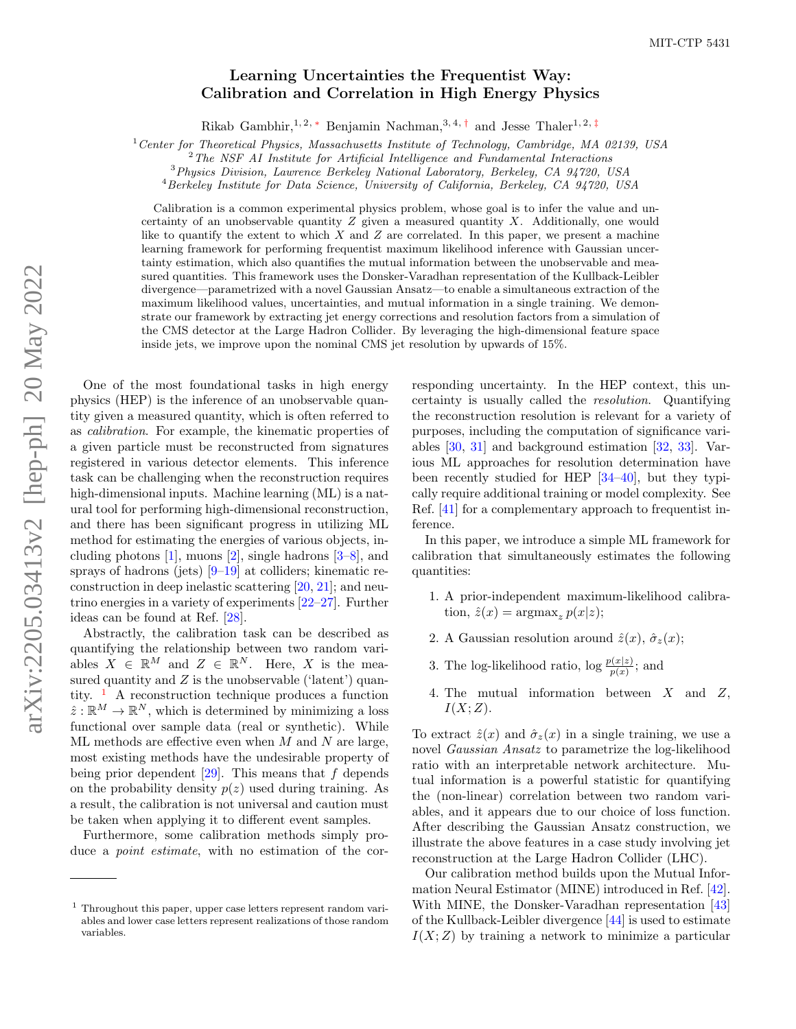## Learning Uncertainties the Frequentist Way: Calibration and Correlation in High Energy Physics

Rikab Gambhir,<sup>1, 2, \*</sup> Benjamin Nachman,<sup>3, 4, [†](#page-4-1)</sup> and Jesse Thaler<sup>1, 2, [‡](#page-4-2)</sup>

 $1$ <sup>1</sup> Center for Theoretical Physics, Massachusetts Institute of Technology, Cambridge, MA 02139, USA

 $2$ The NSF AI Institute for Artificial Intelligence and Fundamental Interactions

<sup>3</sup>Physics Division, Lawrence Berkeley National Laboratory, Berkeley, CA 94720, USA

<sup>4</sup> Berkeley Institute for Data Science, University of California, Berkeley, CA 94720, USA

Calibration is a common experimental physics problem, whose goal is to infer the value and uncertainty of an unobservable quantity Z given a measured quantity X. Additionally, one would like to quantify the extent to which  $X$  and  $Z$  are correlated. In this paper, we present a machine learning framework for performing frequentist maximum likelihood inference with Gaussian uncertainty estimation, which also quantifies the mutual information between the unobservable and measured quantities. This framework uses the Donsker-Varadhan representation of the Kullback-Leibler divergence—parametrized with a novel Gaussian Ansatz—to enable a simultaneous extraction of the maximum likelihood values, uncertainties, and mutual information in a single training. We demonstrate our framework by extracting jet energy corrections and resolution factors from a simulation of the CMS detector at the Large Hadron Collider. By leveraging the high-dimensional feature space inside jets, we improve upon the nominal CMS jet resolution by upwards of 15%.

One of the most foundational tasks in high energy physics (HEP) is the inference of an unobservable quantity given a measured quantity, which is often referred to as calibration. For example, the kinematic properties of a given particle must be reconstructed from signatures registered in various detector elements. This inference task can be challenging when the reconstruction requires high-dimensional inputs. Machine learning (ML) is a natural tool for performing high-dimensional reconstruction, and there has been significant progress in utilizing ML method for estimating the energies of various objects, including photons [\[1\]](#page-4-3), muons [\[2\]](#page-4-4), single hadrons [\[3](#page-4-5)[–8\]](#page-4-6), and sprays of hadrons (jets) [\[9](#page-4-7)[–19\]](#page-5-0) at colliders; kinematic reconstruction in deep inelastic scattering [\[20,](#page-5-1) [21\]](#page-5-2); and neutrino energies in a variety of experiments [\[22–](#page-5-3)[27\]](#page-5-4). Further ideas can be found at Ref. [\[28\]](#page-5-5).

Abstractly, the calibration task can be described as quantifying the relationship between two random variables  $X \in \mathbb{R}^M$  and  $Z \in \mathbb{R}^N$ . Here, X is the measured quantity and  $Z$  is the unobservable ('latent') quantity.  $\frac{1}{1}$  $\frac{1}{1}$  $\frac{1}{1}$  A reconstruction technique produces a function  $\hat{z}: \mathbb{R}^M \to \mathbb{R}^N$ , which is determined by minimizing a loss functional over sample data (real or synthetic). While ML methods are effective even when  $M$  and  $N$  are large, most existing methods have the undesirable property of being prior dependent  $[29]$ . This means that f depends on the probability density  $p(z)$  used during training. As a result, the calibration is not universal and caution must be taken when applying it to different event samples.

Furthermore, some calibration methods simply produce a *point estimate*, with no estimation of the corresponding uncertainty. In the HEP context, this uncertainty is usually called the resolution. Quantifying the reconstruction resolution is relevant for a variety of purposes, including the computation of significance variables [\[30,](#page-5-7) [31\]](#page-5-8) and background estimation [\[32,](#page-5-9) [33\]](#page-5-10). Various ML approaches for resolution determination have been recently studied for HEP [\[34–](#page-5-11)[40\]](#page-5-12), but they typically require additional training or model complexity. See Ref. [\[41\]](#page-5-13) for a complementary approach to frequentist inference.

In this paper, we introduce a simple ML framework for calibration that simultaneously estimates the following quantities:

- 1. A prior-independent maximum-likelihood calibration,  $\hat{z}(x) = \arg\max_z p(x|z);$
- 2. A Gaussian resolution around  $\hat{z}(x)$ ,  $\hat{\sigma}_z(x)$ ;
- 3. The log-likelihood ratio,  $\log \frac{p(x|z)}{p(x)}$ ; and
- 4. The mutual information between X and Z,  $I(X;Z)$ .

To extract  $\hat{z}(x)$  and  $\hat{\sigma}_z(x)$  in a single training, we use a novel Gaussian Ansatz to parametrize the log-likelihood ratio with an interpretable network architecture. Mutual information is a powerful statistic for quantifying the (non-linear) correlation between two random variables, and it appears due to our choice of loss function. After describing the Gaussian Ansatz construction, we illustrate the above features in a case study involving jet reconstruction at the Large Hadron Collider (LHC).

Our calibration method builds upon the Mutual Information Neural Estimator (MINE) introduced in Ref. [\[42\]](#page-5-14). With MINE, the Donsker-Varadhan representation [\[43\]](#page-5-15) of the Kullback-Leibler divergence [\[44\]](#page-5-16) is used to estimate  $I(X;Z)$  by training a network to minimize a particular

<span id="page-0-0"></span><sup>1</sup> Throughout this paper, upper case letters represent random variables and lower case letters represent realizations of those random variables.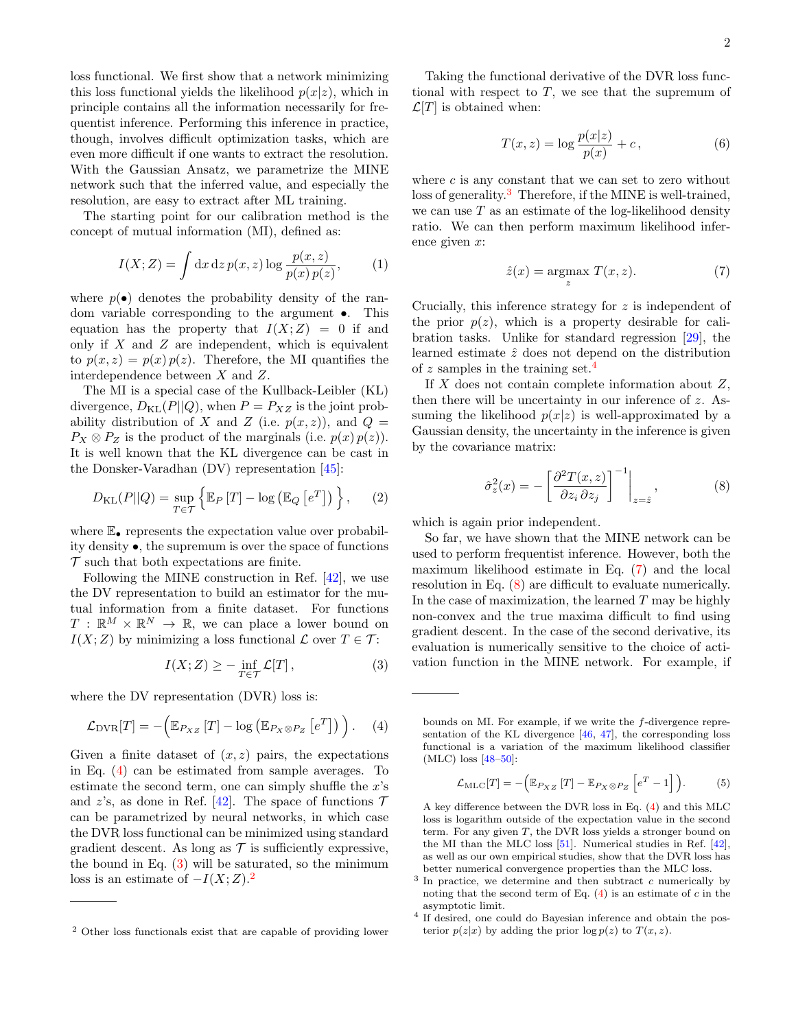loss functional. We first show that a network minimizing this loss functional yields the likelihood  $p(x|z)$ , which in principle contains all the information necessarily for frequentist inference. Performing this inference in practice, though, involves difficult optimization tasks, which are even more difficult if one wants to extract the resolution. With the Gaussian Ansatz, we parametrize the MINE network such that the inferred value, and especially the resolution, are easy to extract after ML training.

The starting point for our calibration method is the concept of mutual information (MI), defined as:

$$
I(X;Z) = \int dx \, dz \, p(x,z) \log \frac{p(x,z)}{p(x)p(z)},\tag{1}
$$

where  $p(\bullet)$  denotes the probability density of the random variable corresponding to the argument •. This equation has the property that  $I(X;Z) = 0$  if and only if  $X$  and  $Z$  are independent, which is equivalent to  $p(x, z) = p(x) p(z)$ . Therefore, the MI quantifies the interdependence between X and Z.

The MI is a special case of the Kullback-Leibler (KL) divergence,  $D_{\text{KL}}(P||Q)$ , when  $P = P_{XZ}$  is the joint probability distribution of X and Z (i.e.  $p(x, z)$ ), and  $Q =$  $P_X \otimes P_Z$  is the product of the marginals (i.e.  $p(x) p(z)$ ). It is well known that the KL divergence can be cast in the Donsker-Varadhan (DV) representation [\[45\]](#page-5-17):

$$
D_{\text{KL}}(P||Q) = \sup_{T \in \mathcal{T}} \left\{ \mathbb{E}_P \left[ T \right] - \log \left( \mathbb{E}_Q \left[ e^T \right] \right) \right\}, \quad (2)
$$

where  $\mathbb{E}_{\bullet}$  represents the expectation value over probability density •, the supremum is over the space of functions  $\mathcal T$  such that both expectations are finite.

Following the MINE construction in Ref. [\[42\]](#page-5-14), we use the DV representation to build an estimator for the mutual information from a finite dataset. For functions  $T : \mathbb{R}^M \times \mathbb{R}^N \to \mathbb{R}$ , we can place a lower bound on  $I(X;Z)$  by minimizing a loss functional  $\mathcal L$  over  $T \in \mathcal T$ :

$$
I(X;Z) \ge -\inf_{T \in \mathcal{T}} \mathcal{L}[T],\tag{3}
$$

where the DV representation (DVR) loss is:

<span id="page-1-0"></span>
$$
\mathcal{L}_{\text{DVR}}[T] = -\left(\mathbb{E}_{P_{XZ}}\left[T\right] - \log\left(\mathbb{E}_{P_X \otimes P_Z}\left[e^T\right]\right)\right). \quad (4)
$$

Given a finite dataset of  $(x, z)$  pairs, the expectations in Eq. [\(4\)](#page-1-0) can be estimated from sample averages. To estimate the second term, one can simply shuffle the  $x$ 's and z's, as done in Ref. [\[42\]](#page-5-14). The space of functions  $\mathcal T$ can be parametrized by neural networks, in which case the DVR loss functional can be minimized using standard gradient descent. As long as  $\mathcal T$  is sufficiently expressive, the bound in Eq.  $(3)$  will be saturated, so the minimum loss is an estimate of  $-I(X;Z)$ .<sup>[2](#page-1-2)</sup>

Taking the functional derivative of the DVR loss functional with respect to  $T$ , we see that the supremum of  $\mathcal{L}[T]$  is obtained when:

$$
T(x,z) = \log \frac{p(x|z)}{p(x)} + c,\tag{6}
$$

where  $c$  is any constant that we can set to zero without loss of generality.<sup>[3](#page-1-3)</sup> Therefore, if the MINE is well-trained, we can use  $T$  as an estimate of the log-likelihood density ratio. We can then perform maximum likelihood inference given x:

<span id="page-1-5"></span>
$$
\hat{z}(x) = \underset{z}{\operatorname{argmax}} T(x, z). \tag{7}
$$

Crucially, this inference strategy for z is independent of the prior  $p(z)$ , which is a property desirable for calibration tasks. Unlike for standard regression [\[29\]](#page-5-6), the learned estimate  $\hat{z}$  does not depend on the distribution of z samples in the training set.<sup>[4](#page-1-4)</sup>

If  $X$  does not contain complete information about  $Z$ , then there will be uncertainty in our inference of z. Assuming the likelihood  $p(x|z)$  is well-approximated by a Gaussian density, the uncertainty in the inference is given by the covariance matrix:

<span id="page-1-6"></span>
$$
\hat{\sigma}_z^2(x) = -\left[\frac{\partial^2 T(x,z)}{\partial z_i \partial z_j}\right]^{-1}\bigg|_{z=\hat{z}},\tag{8}
$$

which is again prior independent.

So far, we have shown that the MINE network can be used to perform frequentist inference. However, both the maximum likelihood estimate in Eq. [\(7\)](#page-1-5) and the local resolution in Eq. [\(8\)](#page-1-6) are difficult to evaluate numerically. In the case of maximization, the learned  $T$  may be highly non-convex and the true maxima difficult to find using gradient descent. In the case of the second derivative, its evaluation is numerically sensitive to the choice of activation function in the MINE network. For example, if

$$
\mathcal{L}_{\text{MLC}}[T] = -\left(\mathbb{E}_{P_{XZ}}\left[T\right] - \mathbb{E}_{P_X \otimes P_Z}\left[e^T - 1\right]\right). \tag{5}
$$

A key difference between the DVR loss in Eq. [\(4\)](#page-1-0) and this MLC loss is logarithm outside of the expectation value in the second term. For any given  $T$ , the DVR loss yields a stronger bound on the MI than the MLC loss [\[51\]](#page-6-3). Numerical studies in Ref. [\[42\]](#page-5-14), as well as our own empirical studies, show that the DVR loss has better numerical convergence properties than the MLC loss.

<span id="page-1-2"></span><sup>2</sup> Other loss functionals exist that are capable of providing lower

<span id="page-1-1"></span>bounds on MI. For example, if we write the f-divergence representation of the KL divergence [\[46,](#page-5-18) [47\]](#page-6-0), the corresponding loss functional is a variation of the maximum likelihood classifier (MLC) loss [\[48](#page-6-1)[–50\]](#page-6-2):

<span id="page-1-3"></span> $3$  In practice, we determine and then subtract c numerically by noting that the second term of Eq.  $(4)$  is an estimate of c in the asymptotic limit.

<span id="page-1-4"></span><sup>4</sup> If desired, one could do Bayesian inference and obtain the posterior  $p(z|x)$  by adding the prior  $\log p(z)$  to  $T(x, z)$ .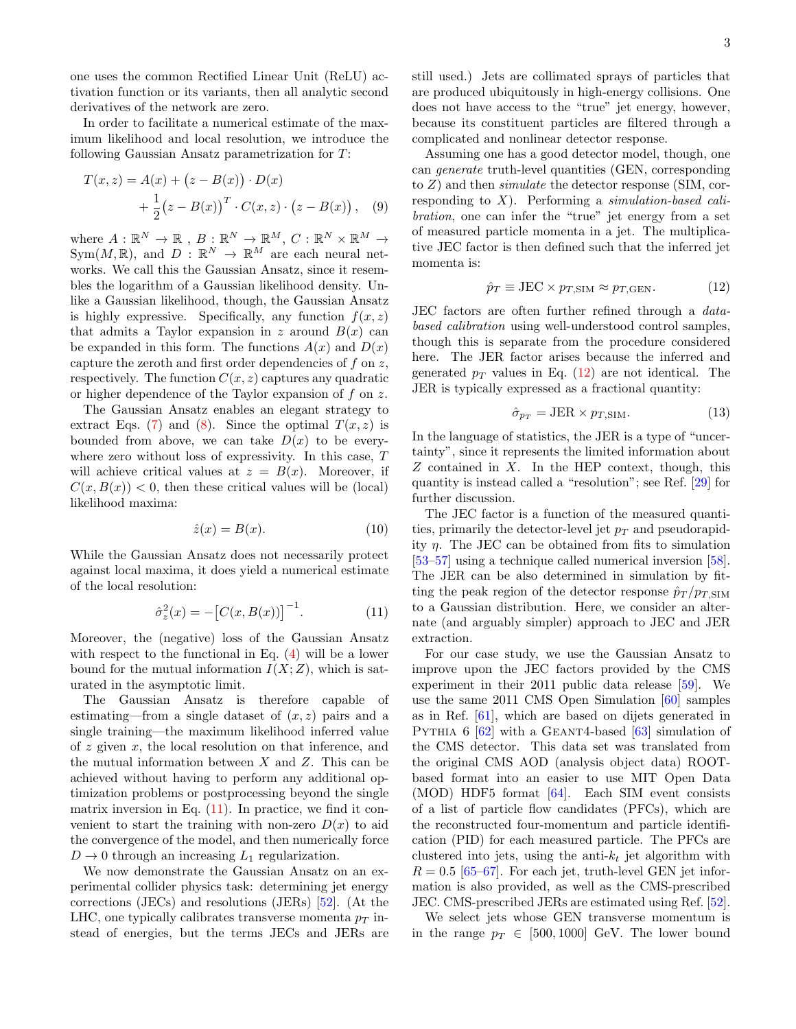one uses the common Rectified Linear Unit (ReLU) activation function or its variants, then all analytic second derivatives of the network are zero.

In order to facilitate a numerical estimate of the maximum likelihood and local resolution, we introduce the following Gaussian Ansatz parametrization for T:

$$
T(x, z) = A(x) + (z - B(x)) \cdot D(x) + \frac{1}{2} (z - B(x))^{T} \cdot C(x, z) \cdot (z - B(x)),
$$
 (9)

where  $A: \mathbb{R}^N \to \mathbb{R}$ ,  $B: \mathbb{R}^N \to \mathbb{R}^M$ ,  $C: \mathbb{R}^N \times \mathbb{R}^M \to$  $Sym(M, \mathbb{R})$ , and  $D : \mathbb{R}^N \to \mathbb{R}^M$  are each neural networks. We call this the Gaussian Ansatz, since it resembles the logarithm of a Gaussian likelihood density. Unlike a Gaussian likelihood, though, the Gaussian Ansatz is highly expressive. Specifically, any function  $f(x, z)$ that admits a Taylor expansion in z around  $B(x)$  can be expanded in this form. The functions  $A(x)$  and  $D(x)$ capture the zeroth and first order dependencies of  $f$  on  $z$ , respectively. The function  $C(x, z)$  captures any quadratic or higher dependence of the Taylor expansion of f on z.

The Gaussian Ansatz enables an elegant strategy to extract Eqs. [\(7\)](#page-1-5) and [\(8\)](#page-1-6). Since the optimal  $T(x, z)$  is bounded from above, we can take  $D(x)$  to be everywhere zero without loss of expressivity. In this case, T will achieve critical values at  $z = B(x)$ . Moreover, if  $C(x, B(x)) < 0$ , then these critical values will be (local) likelihood maxima:

$$
\hat{z}(x) = B(x). \tag{10}
$$

While the Gaussian Ansatz does not necessarily protect against local maxima, it does yield a numerical estimate of the local resolution:

<span id="page-2-0"></span>
$$
\hat{\sigma}_z^2(x) = -[C(x, B(x))]^{-1}.
$$
 (11)

Moreover, the (negative) loss of the Gaussian Ansatz with respect to the functional in Eq.  $(4)$  will be a lower bound for the mutual information  $I(X;Z)$ , which is saturated in the asymptotic limit.

The Gaussian Ansatz is therefore capable of estimating—from a single dataset of  $(x, z)$  pairs and a single training—the maximum likelihood inferred value of z given x, the local resolution on that inference, and the mutual information between  $X$  and  $Z$ . This can be achieved without having to perform any additional optimization problems or postprocessing beyond the single matrix inversion in Eq.  $(11)$ . In practice, we find it convenient to start the training with non-zero  $D(x)$  to aid the convergence of the model, and then numerically force  $D \rightarrow 0$  through an increasing  $L_1$  regularization.

We now demonstrate the Gaussian Ansatz on an experimental collider physics task: determining jet energy corrections (JECs) and resolutions (JERs) [\[52\]](#page-6-4). (At the LHC, one typically calibrates transverse momenta  $p_T$  instead of energies, but the terms JECs and JERs are still used.) Jets are collimated sprays of particles that are produced ubiquitously in high-energy collisions. One does not have access to the "true" jet energy, however, because its constituent particles are filtered through a complicated and nonlinear detector response.

Assuming one has a good detector model, though, one can generate truth-level quantities (GEN, corresponding to  $Z$ ) and then *simulate* the detector response (SIM, corresponding to  $X$ ). Performing a *simulation-based cali*bration, one can infer the "true" jet energy from a set of measured particle momenta in a jet. The multiplicative JEC factor is then defined such that the inferred jet momenta is:

<span id="page-2-1"></span>
$$
\hat{p}_T \equiv \text{JEC} \times p_{T,\text{SIM}} \approx p_{T,\text{GEN}}.\tag{12}
$$

JEC factors are often further refined through a databased calibration using well-understood control samples, though this is separate from the procedure considered here. The JER factor arises because the inferred and generated  $p_T$  values in Eq. [\(12\)](#page-2-1) are not identical. The JER is typically expressed as a fractional quantity:

$$
\hat{\sigma}_{p_T} = \text{JER} \times p_{T, \text{SIM}}.\tag{13}
$$

In the language of statistics, the JER is a type of "uncertainty", since it represents the limited information about  $Z$  contained in  $X$ . In the HEP context, though, this quantity is instead called a "resolution"; see Ref. [\[29\]](#page-5-6) for further discussion.

The JEC factor is a function of the measured quantities, primarily the detector-level jet  $p_T$  and pseudorapidity  $\eta$ . The JEC can be obtained from fits to simulation [\[53–](#page-6-5)[57\]](#page-6-6) using a technique called numerical inversion [\[58\]](#page-6-7). The JER can be also determined in simulation by fitting the peak region of the detector response  $\hat{p}_T / p_{T,\text{SIM}}$ to a Gaussian distribution. Here, we consider an alternate (and arguably simpler) approach to JEC and JER extraction.

For our case study, we use the Gaussian Ansatz to improve upon the JEC factors provided by the CMS experiment in their 2011 public data release [\[59\]](#page-6-8). We use the same 2011 CMS Open Simulation [\[60\]](#page-6-9) samples as in Ref. [\[61\]](#page-6-10), which are based on dijets generated in PYTHIA  $6 \left[ 62 \right]$  with a GEANT4-based  $\left[ 63 \right]$  simulation of the CMS detector. This data set was translated from the original CMS AOD (analysis object data) ROOTbased format into an easier to use MIT Open Data (MOD) HDF5 format [\[64\]](#page-6-13). Each SIM event consists of a list of particle flow candidates (PFCs), which are the reconstructed four-momentum and particle identification (PID) for each measured particle. The PFCs are clustered into jets, using the anti- $k_t$  jet algorithm with  $R = 0.5$  [\[65–](#page-6-14)[67\]](#page-6-15). For each jet, truth-level GEN jet information is also provided, as well as the CMS-prescribed JEC. CMS-prescribed JERs are estimated using Ref. [\[52\]](#page-6-4).

We select jets whose GEN transverse momentum is in the range  $p_T \in [500, 1000]$  GeV. The lower bound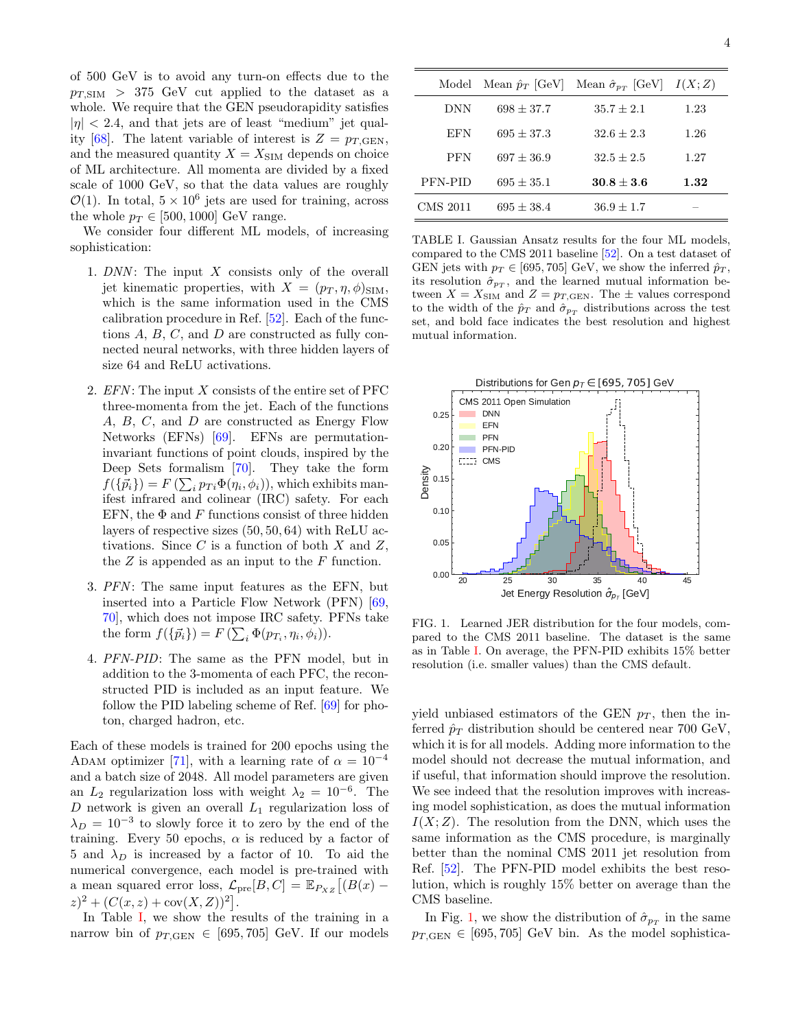of 500 GeV is to avoid any turn-on effects due to the  $p_{T,\text{SIM}} > 375$  GeV cut applied to the dataset as a whole. We require that the GEN pseudorapidity satisfies  $|\eta|$  < 2.4, and that jets are of least "medium" jet qual-ity [\[68\]](#page-6-16). The latent variable of interest is  $Z = p_{T, \text{GEN}}$ , and the measured quantity  $X = X_{\text{SIM}}$  depends on choice of ML architecture. All momenta are divided by a fixed scale of 1000 GeV, so that the data values are roughly  $\mathcal{O}(1)$ . In total,  $5 \times 10^6$  jets are used for training, across the whole  $p_T \in [500, 1000]$  GeV range.

We consider four different ML models, of increasing sophistication:

- 1.  $DNN$ : The input  $X$  consists only of the overall jet kinematic properties, with  $X = (p_T, \eta, \phi)_{\text{SIM}}$ , which is the same information used in the CMS calibration procedure in Ref. [\[52\]](#page-6-4). Each of the functions  $A, B, C$ , and  $D$  are constructed as fully connected neural networks, with three hidden layers of size 64 and ReLU activations.
- 2.  $EFN$ : The input X consists of the entire set of PFC three-momenta from the jet. Each of the functions A, B, C, and D are constructed as Energy Flow Networks (EFNs) [\[69\]](#page-6-17). EFNs are permutationinvariant functions of point clouds, inspired by the Deep Sets formalism [\[70\]](#page-6-18). They take the form  $f({\vec{p}_i}) = F(\sum_i p_{Ti} \Phi(\eta_i, \phi_i))$ , which exhibits manifest infrared and colinear (IRC) safety. For each EFN, the  $\Phi$  and F functions consist of three hidden layers of respective sizes (50, 50, 64) with ReLU activations. Since  $C$  is a function of both  $X$  and  $Z$ , the  $Z$  is appended as an input to the  $F$  function.
- 3. PFN: The same input features as the EFN, but inserted into a Particle Flow Network (PFN) [\[69,](#page-6-17) [70\]](#page-6-18), which does not impose IRC safety. PFNs take the form  $f(\lbrace \vec{p}_i \rbrace) = F(\sum_i \Phi(p_{T_i}, \eta_i, \phi_i)).$
- 4. PFN-PID: The same as the PFN model, but in addition to the 3-momenta of each PFC, the reconstructed PID is included as an input feature. We follow the PID labeling scheme of Ref. [\[69\]](#page-6-17) for photon, charged hadron, etc.

Each of these models is trained for 200 epochs using the ADAM optimizer [\[71\]](#page-6-19), with a learning rate of  $\alpha = 10^{-4}$ and a batch size of 2048. All model parameters are given an  $L_2$  regularization loss with weight  $\lambda_2 = 10^{-6}$ . The  $D$  network is given an overall  $L_1$  regularization loss of  $\lambda_D = 10^{-3}$  to slowly force it to zero by the end of the training. Every 50 epochs,  $\alpha$  is reduced by a factor of 5 and  $\lambda_D$  is increased by a factor of 10. To aid the numerical convergence, each model is pre-trained with a mean squared error loss,  $\mathcal{L}_{pre}[B, C] = \mathbb{E}_{P_{XZ}}[(B(x) (z)^2 + (C(x, z) + \text{cov}(X, Z))^2$ .

In Table [I,](#page-3-0) we show the results of the training in a narrow bin of  $p_{T,GEN} \in [695, 705]$  GeV. If our models

| Model      | Mean $\hat{p}_T$ [GeV] | Mean $\hat{\sigma}_{p_T}$ [GeV] $I(X;Z)$ |      |
|------------|------------------------|------------------------------------------|------|
| DNN        | $698 + 37.7$           | $35.7 + 2.1$                             | 1.23 |
| EFN        | $695 + 37.3$           | $32.6 + 2.3$                             | 1.26 |
| <b>PFN</b> | $697 + 36.9$           | $32.5 + 2.5$                             | 1.27 |
| PFN-PID    | $695 + 35.1$           | $30.8 + 3.6$                             | 1.32 |
| CMS 2011   | $695 + 38.4$           | $36.9 + 1.7$                             |      |

<span id="page-3-0"></span>TABLE I. Gaussian Ansatz results for the four ML models, compared to the CMS 2011 baseline [\[52\]](#page-6-4). On a test dataset of GEN jets with  $p_T \in [695, 705]$  GeV, we show the inferred  $\hat{p}_T$ , its resolution  $\hat{\sigma}_{p_T}$ , and the learned mutual information between  $X = X_{\text{SIM}}$  and  $Z = p_{T, \text{GEN}}$ . The  $\pm$  values correspond to the width of the  $\hat{p}_T$  and  $\hat{\sigma}_{p_T}$  distributions across the test set, and bold face indicates the best resolution and highest mutual information.



<span id="page-3-1"></span>FIG. 1. Learned JER distribution for the four models, compared to the CMS 2011 baseline. The dataset is the same as in Table [I.](#page-3-0) On average, the PFN-PID exhibits 15% better resolution (i.e. smaller values) than the CMS default.

yield unbiased estimators of the GEN  $p_T$ , then the inferred  $\hat{p}_T$  distribution should be centered near 700 GeV, which it is for all models. Adding more information to the model should not decrease the mutual information, and if useful, that information should improve the resolution. We see indeed that the resolution improves with increasing model sophistication, as does the mutual information  $I(X; Z)$ . The resolution from the DNN, which uses the same information as the CMS procedure, is marginally better than the nominal CMS 2011 jet resolution from Ref. [\[52\]](#page-6-4). The PFN-PID model exhibits the best resolution, which is roughly 15% better on average than the CMS baseline.

In Fig. [1,](#page-3-1) we show the distribution of  $\hat{\sigma}_{p_T}$  in the same  $p_{T,\text{GEN}} \in [695, 705]$  GeV bin. As the model sophistica-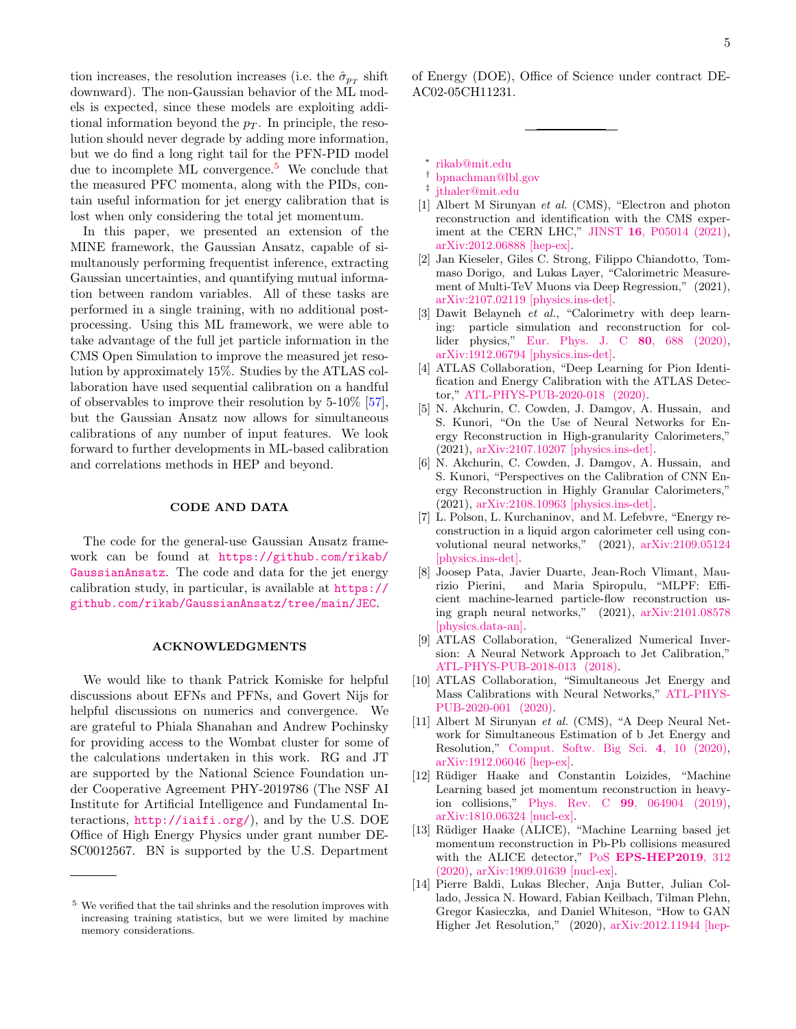tion increases, the resolution increases (i.e. the  $\hat{\sigma}_{p_T}$  shift downward). The non-Gaussian behavior of the ML models is expected, since these models are exploiting additional information beyond the  $p_T$ . In principle, the resolution should never degrade by adding more information, but we do find a long right tail for the PFN-PID model due to incomplete ML convergence.<sup>[5](#page-4-8)</sup> We conclude that the measured PFC momenta, along with the PIDs, contain useful information for jet energy calibration that is lost when only considering the total jet momentum.

In this paper, we presented an extension of the MINE framework, the Gaussian Ansatz, capable of simultanously performing frequentist inference, extracting Gaussian uncertainties, and quantifying mutual information between random variables. All of these tasks are performed in a single training, with no additional postprocessing. Using this ML framework, we were able to take advantage of the full jet particle information in the CMS Open Simulation to improve the measured jet resolution by approximately 15%. Studies by the ATLAS collaboration have used sequential calibration on a handful of observables to improve their resolution by 5-10% [\[57\]](#page-6-6), but the Gaussian Ansatz now allows for simultaneous calibrations of any number of input features. We look forward to further developments in ML-based calibration and correlations methods in HEP and beyond.

## CODE AND DATA

The code for the general-use Gaussian Ansatz framework can be found at [https://github.com/rikab/](https://github.com/rikab/GaussianAnsatz) [GaussianAnsatz](https://github.com/rikab/GaussianAnsatz). The code and data for the jet energy calibration study, in particular, is available at [https://](https://github.com/rikab/GaussianAnsatz/tree/main/JEC) [github.com/rikab/GaussianAnsatz/tree/main/JEC](https://github.com/rikab/GaussianAnsatz/tree/main/JEC).

## ACKNOWLEDGMENTS

We would like to thank Patrick Komiske for helpful discussions about EFNs and PFNs, and Govert Nijs for helpful discussions on numerics and convergence. We are grateful to Phiala Shanahan and Andrew Pochinsky for providing access to the Wombat cluster for some of the calculations undertaken in this work. RG and JT are supported by the National Science Foundation under Cooperative Agreement PHY-2019786 (The NSF AI Institute for Artificial Intelligence and Fundamental Interactions, <http://iaifi.org/>), and by the U.S. DOE Office of High Energy Physics under grant number DE-SC0012567. BN is supported by the U.S. Department

of Energy (DOE), Office of Science under contract DE-AC02-05CH11231.

- <span id="page-4-0"></span>∗ [rikab@mit.edu](mailto:rikab@mit.edu)
- <span id="page-4-1"></span>† [bpnachman@lbl.gov](mailto:bpnachman@lbl.gov)
- <span id="page-4-2"></span>‡ [jthaler@mit.edu](mailto:jthaler@mit.edu)
- <span id="page-4-3"></span>[1] Albert M Sirunyan et al. (CMS), "Electron and photon reconstruction and identification with the CMS experiment at the CERN LHC," JINST 16[, P05014 \(2021\),](http://dx.doi.org/10.1088/1748-0221/16/05/P05014) [arXiv:2012.06888 \[hep-ex\].](http://arxiv.org/abs/2012.06888)
- <span id="page-4-4"></span>[2] Jan Kieseler, Giles C. Strong, Filippo Chiandotto, Tommaso Dorigo, and Lukas Layer, "Calorimetric Measurement of Multi-TeV Muons via Deep Regression," (2021), [arXiv:2107.02119 \[physics.ins-det\].](http://arxiv.org/abs/2107.02119)
- <span id="page-4-5"></span>[3] Dawit Belayneh et al., "Calorimetry with deep learning: particle simulation and reconstruction for collider physics," [Eur. Phys. J. C](http://dx.doi.org/10.1140/epjc/s10052-020-8251-9) 80, 688 (2020), [arXiv:1912.06794 \[physics.ins-det\].](http://arxiv.org/abs/1912.06794)
- [4] ATLAS Collaboration, "Deep Learning for Pion Identification and Energy Calibration with the ATLAS Detector," [ATL-PHYS-PUB-2020-018 \(2020\).](http://cdsweb.cern.ch/record/2724632)
- [5] N. Akchurin, C. Cowden, J. Damgov, A. Hussain, and S. Kunori, "On the Use of Neural Networks for Energy Reconstruction in High-granularity Calorimeters," (2021), [arXiv:2107.10207 \[physics.ins-det\].](http://arxiv.org/abs/2107.10207)
- [6] N. Akchurin, C. Cowden, J. Damgov, A. Hussain, and S. Kunori, "Perspectives on the Calibration of CNN Energy Reconstruction in Highly Granular Calorimeters," (2021), [arXiv:2108.10963 \[physics.ins-det\].](http://arxiv.org/abs/2108.10963)
- [7] L. Polson, L. Kurchaninov, and M. Lefebvre, "Energy reconstruction in a liquid argon calorimeter cell using convolutional neural networks," (2021), [arXiv:2109.05124](http://arxiv.org/abs/2109.05124) [\[physics.ins-det\].](http://arxiv.org/abs/2109.05124)
- <span id="page-4-6"></span>[8] Joosep Pata, Javier Duarte, Jean-Roch Vlimant, Maurizio Pierini, and Maria Spiropulu, "MLPF: Efficient machine-learned particle-flow reconstruction using graph neural networks," (2021), [arXiv:2101.08578](http://arxiv.org/abs/2101.08578) [\[physics.data-an\].](http://arxiv.org/abs/2101.08578)
- <span id="page-4-7"></span>[9] ATLAS Collaboration, "Generalized Numerical Inversion: A Neural Network Approach to Jet Calibration," [ATL-PHYS-PUB-2018-013 \(2018\).](http://cdsweb.cern.ch/record/2630972)
- [10] ATLAS Collaboration, "Simultaneous Jet Energy and Mass Calibrations with Neural Networks," [ATL-PHYS-](http://cdsweb.cern.ch/record/2706189)[PUB-2020-001 \(2020\).](http://cdsweb.cern.ch/record/2706189)
- [11] Albert M Sirunyan et al. (CMS), "A Deep Neural Network for Simultaneous Estimation of b Jet Energy and Resolution," [Comput. Softw. Big Sci.](http://dx.doi.org/ 10.1007/s41781-020-00041-z) 4, 10 (2020), [arXiv:1912.06046 \[hep-ex\].](http://arxiv.org/abs/1912.06046)
- [12] Rüdiger Haake and Constantin Loizides, "Machine Learning based jet momentum reconstruction in heavyion collisions," Phys. Rev. C 99[, 064904 \(2019\),](http://dx.doi.org/10.1103/PhysRevC.99.064904) [arXiv:1810.06324 \[nucl-ex\].](http://arxiv.org/abs/1810.06324)
- [13] Rüdiger Haake (ALICE), "Machine Learning based jet momentum reconstruction in Pb-Pb collisions measured with the ALICE detector," PoS [EPS-HEP2019](http://dx.doi.org/10.22323/1.364.0312), 312 [\(2020\),](http://dx.doi.org/10.22323/1.364.0312) [arXiv:1909.01639 \[nucl-ex\].](http://arxiv.org/abs/1909.01639)
- [14] Pierre Baldi, Lukas Blecher, Anja Butter, Julian Collado, Jessica N. Howard, Fabian Keilbach, Tilman Plehn, Gregor Kasieczka, and Daniel Whiteson, "How to GAN Higher Jet Resolution," (2020), [arXiv:2012.11944 \[hep-](http://arxiv.org/abs/2012.11944)

<span id="page-4-8"></span><sup>5</sup> We verified that the tail shrinks and the resolution improves with increasing training statistics, but we were limited by machine memory considerations.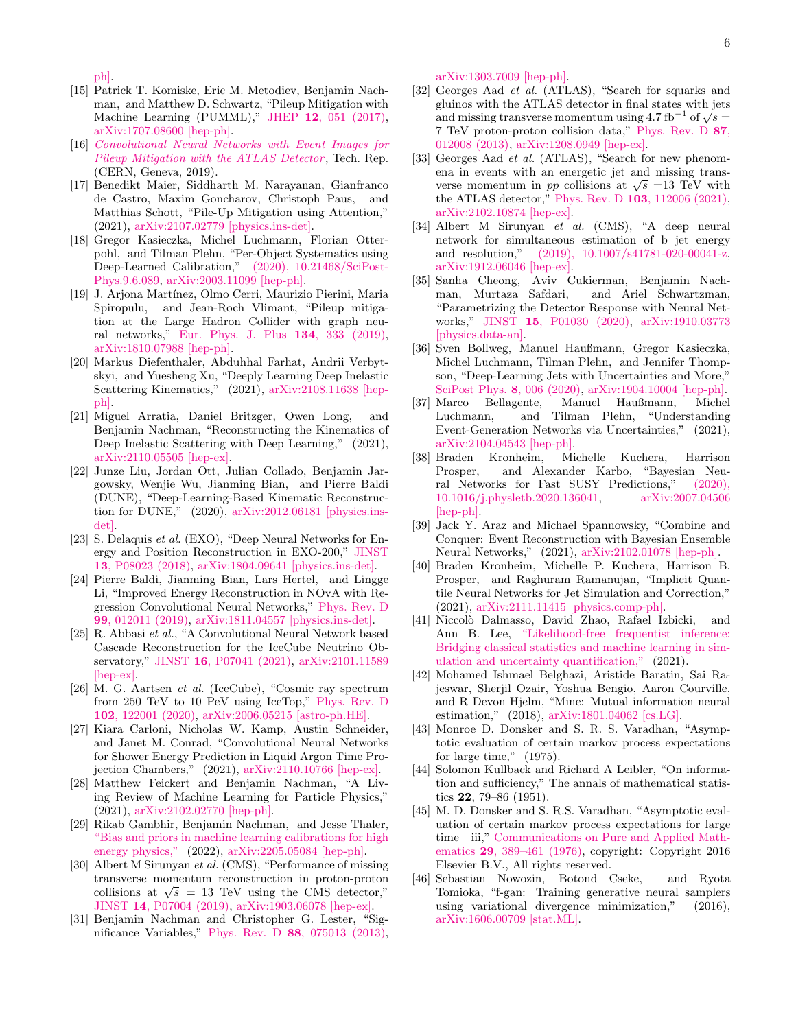[ph\].](http://arxiv.org/abs/2012.11944)

- [15] Patrick T. Komiske, Eric M. Metodiev, Benjamin Nachman, and Matthew D. Schwartz, "Pileup Mitigation with Machine Learning (PUMML)," JHEP 12[, 051 \(2017\),](http://dx.doi.org/10.1007/JHEP12(2017)051) [arXiv:1707.08600 \[hep-ph\].](http://arxiv.org/abs/1707.08600)
- [16] [Convolutional Neural Networks with Event Images for](https://cds.cern.ch/record/2684070) [Pileup Mitigation with the ATLAS Detector](https://cds.cern.ch/record/2684070), Tech. Rep. (CERN, Geneva, 2019).
- [17] Benedikt Maier, Siddharth M. Narayanan, Gianfranco de Castro, Maxim Goncharov, Christoph Paus, and Matthias Schott, "Pile-Up Mitigation using Attention," (2021), [arXiv:2107.02779 \[physics.ins-det\].](http://arxiv.org/abs/2107.02779)
- [18] Gregor Kasieczka, Michel Luchmann, Florian Otterpohl, and Tilman Plehn, "Per-Object Systematics using Deep-Learned Calibration," [\(2020\), 10.21468/SciPost-](http://dx.doi.org/ 10.21468/SciPostPhys.9.6.089)[Phys.9.6.089,](http://dx.doi.org/ 10.21468/SciPostPhys.9.6.089) [arXiv:2003.11099 \[hep-ph\].](http://arxiv.org/abs/2003.11099)
- <span id="page-5-0"></span>[19] J. Arjona Martínez, Olmo Cerri, Maurizio Pierini, Maria Spiropulu, and Jean-Roch Vlimant, "Pileup mitigation at the Large Hadron Collider with graph neural networks," [Eur. Phys. J. Plus](http://dx.doi.org/10.1140/epjp/i2019-12710-3) 134, 333 (2019), [arXiv:1810.07988 \[hep-ph\].](http://arxiv.org/abs/1810.07988)
- <span id="page-5-1"></span>[20] Markus Diefenthaler, Abduhhal Farhat, Andrii Verbytskyi, and Yuesheng Xu, "Deeply Learning Deep Inelastic Scattering Kinematics," (2021), [arXiv:2108.11638 \[hep](http://arxiv.org/abs/2108.11638)[ph\].](http://arxiv.org/abs/2108.11638)
- <span id="page-5-2"></span>[21] Miguel Arratia, Daniel Britzger, Owen Long, and Benjamin Nachman, "Reconstructing the Kinematics of Deep Inelastic Scattering with Deep Learning," (2021), [arXiv:2110.05505 \[hep-ex\].](http://arxiv.org/abs/2110.05505)
- <span id="page-5-3"></span>[22] Junze Liu, Jordan Ott, Julian Collado, Benjamin Jargowsky, Wenjie Wu, Jianming Bian, and Pierre Baldi (DUNE), "Deep-Learning-Based Kinematic Reconstruction for DUNE," (2020), [arXiv:2012.06181 \[physics.ins](http://arxiv.org/abs/2012.06181)[det\].](http://arxiv.org/abs/2012.06181)
- [23] S. Delaquis et al. (EXO), "Deep Neural Networks for Energy and Position Reconstruction in EXO-200," [JINST](http://dx.doi.org/ 10.1088/1748-0221/13/08/P08023) 13[, P08023 \(2018\),](http://dx.doi.org/ 10.1088/1748-0221/13/08/P08023) [arXiv:1804.09641 \[physics.ins-det\].](http://arxiv.org/abs/1804.09641)
- [24] Pierre Baldi, Jianming Bian, Lars Hertel, and Lingge Li, "Improved Energy Reconstruction in NOvA with Regression Convolutional Neural Networks," [Phys. Rev. D](http://dx.doi.org/ 10.1103/PhysRevD.99.012011) 99[, 012011 \(2019\),](http://dx.doi.org/ 10.1103/PhysRevD.99.012011) [arXiv:1811.04557 \[physics.ins-det\].](http://arxiv.org/abs/1811.04557)
- [25] R. Abbasi et al., "A Convolutional Neural Network based Cascade Reconstruction for the IceCube Neutrino Observatory," JINST 16[, P07041 \(2021\),](http://dx.doi.org/10.1088/1748-0221/16/07/P07041) [arXiv:2101.11589](http://arxiv.org/abs/2101.11589) [\[hep-ex\].](http://arxiv.org/abs/2101.11589)
- [26] M. G. Aartsen et al. (IceCube), "Cosmic ray spectrum from 250 TeV to 10 PeV using IceTop," [Phys. Rev. D](http://dx.doi.org/10.1103/PhysRevD.102.122001) 102[, 122001 \(2020\),](http://dx.doi.org/10.1103/PhysRevD.102.122001) [arXiv:2006.05215 \[astro-ph.HE\].](http://arxiv.org/abs/2006.05215)
- <span id="page-5-4"></span>[27] Kiara Carloni, Nicholas W. Kamp, Austin Schneider, and Janet M. Conrad, "Convolutional Neural Networks for Shower Energy Prediction in Liquid Argon Time Projection Chambers," (2021), [arXiv:2110.10766 \[hep-ex\].](http://arxiv.org/abs/2110.10766)
- <span id="page-5-5"></span>[28] Matthew Feickert and Benjamin Nachman, "A Living Review of Machine Learning for Particle Physics," (2021), [arXiv:2102.02770 \[hep-ph\].](http://arxiv.org/abs/2102.02770)
- <span id="page-5-6"></span>[29] Rikab Gambhir, Benjamin Nachman, and Jesse Thaler, ["Bias and priors in machine learning calibrations for high](http://dx.doi.org/10.48550/ARXIV.2205.05084) [energy physics,"](http://dx.doi.org/10.48550/ARXIV.2205.05084) (2022), [arXiv:2205.05084 \[hep-ph\].](http://arxiv.org/abs/2205.05084)
- <span id="page-5-7"></span>[30] Albert M Sirunyan et al. (CMS), "Performance of missing transverse momentum reconstruction in proton-proton collisions at  $\sqrt{s}$  = 13 TeV using the CMS detector," JINST 14[, P07004 \(2019\),](http://dx.doi.org/ 10.1088/1748-0221/14/07/P07004) [arXiv:1903.06078 \[hep-ex\].](http://arxiv.org/abs/1903.06078)
- <span id="page-5-8"></span>[31] Benjamin Nachman and Christopher G. Lester, "Significance Variables," Phys. Rev. D 88[, 075013 \(2013\),](http://dx.doi.org/ 10.1103/PhysRevD.88.075013)

[arXiv:1303.7009 \[hep-ph\].](http://arxiv.org/abs/1303.7009)

- <span id="page-5-9"></span>[32] Georges Aad et al. (ATLAS), "Search for squarks and gluinos with the ATLAS detector in final states with jets giumos with the ATLAS detector in mai states with jets<br>and missing transverse momentum using  $4.7\ \mathrm{fb}^{-1}$  of  $\sqrt{s} =$ 7 TeV proton-proton collision data," [Phys. Rev. D](http://dx.doi.org/10.1103/PhysRevD.87.012008) 87, [012008 \(2013\),](http://dx.doi.org/10.1103/PhysRevD.87.012008) [arXiv:1208.0949 \[hep-ex\].](http://arxiv.org/abs/1208.0949)
- <span id="page-5-10"></span>[33] Georges Aad *et al.* (ATLAS), "Search for new phenomena in events with an energetic jet and missing transena in events with an energetic jet and missing trans-<br>verse momentum in pp collisions at  $\sqrt{s}$  =13 TeV with the ATLAS detector," Phys. Rev. D 103[, 112006 \(2021\),](http://dx.doi.org/ 10.1103/PhysRevD.103.112006) [arXiv:2102.10874 \[hep-ex\].](http://arxiv.org/abs/2102.10874)
- <span id="page-5-11"></span>[34] Albert M Sirunyan et al. (CMS), "A deep neural network for simultaneous estimation of b jet energy and resolution," [\(2019\), 10.1007/s41781-020-00041-z,](http://dx.doi.org/ 10.1007/s41781-020-00041-z) [arXiv:1912.06046 \[hep-ex\].](http://arxiv.org/abs/1912.06046)
- [35] Sanha Cheong, Aviv Cukierman, Benjamin Nachman, Murtaza Safdari, and Ariel Schwartzman, "Parametrizing the Detector Response with Neural Networks," JINST 15[, P01030 \(2020\),](http://dx.doi.org/10.1088/1748-0221/15/01/P01030) [arXiv:1910.03773](http://arxiv.org/abs/1910.03773) [\[physics.data-an\].](http://arxiv.org/abs/1910.03773)
- [36] Sven Bollweg, Manuel Haußmann, Gregor Kasieczka, Michel Luchmann, Tilman Plehn, and Jennifer Thompson, "Deep-Learning Jets with Uncertainties and More," [SciPost Phys.](http://dx.doi.org/ 10.21468/SciPostPhys.8.1.006) 8, 006 (2020), [arXiv:1904.10004 \[hep-ph\].](http://arxiv.org/abs/1904.10004)
- [37] Marco Bellagente, Manuel Haußmann, Michel Luchmann, and Tilman Plehn, "Understanding Event-Generation Networks via Uncertainties," (2021), [arXiv:2104.04543 \[hep-ph\].](http://arxiv.org/abs/2104.04543)
- [38] Braden Kronheim, Michelle Kuchera, Harrison Prosper, and Alexander Karbo, "Bayesian Neural Networks for Fast SUSY Predictions," [\(2020\),](http://dx.doi.org/ 10.1016/j.physletb.2020.136041) [10.1016/j.physletb.2020.136041,](http://dx.doi.org/ 10.1016/j.physletb.2020.136041) [arXiv:2007.04506](http://arxiv.org/abs/2007.04506) [\[hep-ph\].](http://arxiv.org/abs/2007.04506)
- [39] Jack Y. Araz and Michael Spannowsky, "Combine and Conquer: Event Reconstruction with Bayesian Ensemble Neural Networks," (2021), [arXiv:2102.01078 \[hep-ph\].](http://arxiv.org/abs/2102.01078)
- <span id="page-5-12"></span>[40] Braden Kronheim, Michelle P. Kuchera, Harrison B. Prosper, and Raghuram Ramanujan, "Implicit Quantile Neural Networks for Jet Simulation and Correction," (2021), [arXiv:2111.11415 \[physics.comp-ph\].](http://arxiv.org/abs/2111.11415)
- <span id="page-5-13"></span>[41] Niccolò Dalmasso, David Zhao, Rafael Izbicki, and Ann B. Lee, ["Likelihood-free frequentist inference:](http://dx.doi.org/10.48550/ARXIV.2107.03920) [Bridging classical statistics and machine learning in sim](http://dx.doi.org/10.48550/ARXIV.2107.03920)[ulation and uncertainty quantification,"](http://dx.doi.org/10.48550/ARXIV.2107.03920) (2021).
- <span id="page-5-14"></span>[42] Mohamed Ishmael Belghazi, Aristide Baratin, Sai Rajeswar, Sherjil Ozair, Yoshua Bengio, Aaron Courville, and R Devon Hjelm, "Mine: Mutual information neural estimation," (2018), [arXiv:1801.04062 \[cs.LG\].](http://arxiv.org/abs/1801.04062)
- <span id="page-5-15"></span>[43] Monroe D. Donsker and S. R. S. Varadhan, "Asymptotic evaluation of certain markov process expectations for large time," (1975).
- <span id="page-5-16"></span>[44] Solomon Kullback and Richard A Leibler, "On information and sufficiency," The annals of mathematical statistics 22, 79–86 (1951).
- <span id="page-5-17"></span>[45] M. D. Donsker and S. R.S. Varadhan, "Asymptotic evaluation of certain markov process expectations for large time—iii," [Communications on Pure and Applied Math](http://dx.doi.org/10.1002/cpa.3160290405)ematics 29[, 389–461 \(1976\),](http://dx.doi.org/10.1002/cpa.3160290405) copyright: Copyright 2016 Elsevier B.V., All rights reserved.
- <span id="page-5-18"></span>[46] Sebastian Nowozin, Botond Cseke, and Ryota Tomioka, "f-gan: Training generative neural samplers using variational divergence minimization," (2016), [arXiv:1606.00709 \[stat.ML\].](http://arxiv.org/abs/1606.00709)